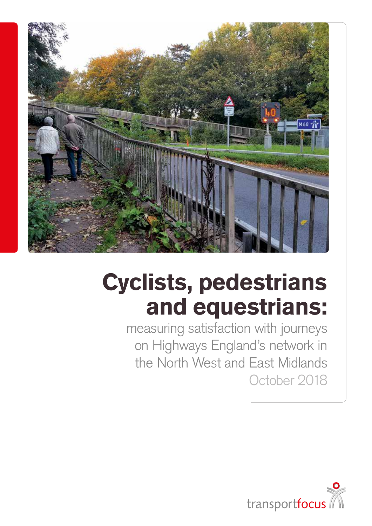

# Cyclists, pedestrians and equestrians:

measuring satisfaction with journeys on Highways England's network in the North West and East Midlands October 2018

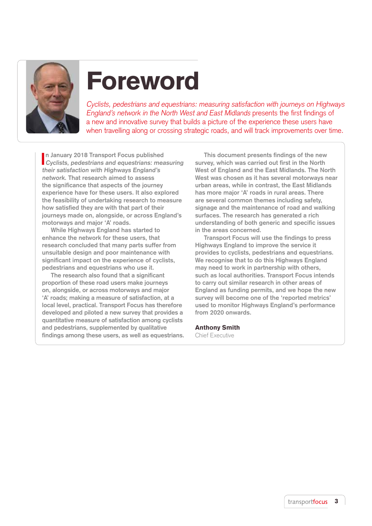

# Foreword

Cyclists, pedestrians and equestrians: measuring satisfaction with journeys on Highways England's network in the North West and East Midlands presents the first findings of a new and innovative survey that builds a picture of the experience these users have when travelling along or crossing strategic roads, and will track improvements over time.

**I Cyclists, pedestrians and equestrians: measuring n January 2018 Transport Focus published their satisfaction with Highways England's network. That research aimed to assess the significance that aspects of the journey experience have for these users. It also explored the feasibility of undertaking research to measure how satisfied they are with that part of their journeys made on, alongside, or across England's motorways and major 'A' roads.** 

**While Highways England has started to enhance the network for these users, that research concluded that many parts suffer from unsuitable design and poor maintenance with significant impact on the experience of cyclists, pedestrians and equestrians who use it.**

**The research also found that a significant proportion of these road users make journeys on, alongside, or across motorways and major 'A' roads; making a measure of satisfaction, at a local level, practical. Transport Focus has therefore developed and piloted a new survey that provides a quantitative measure of satisfaction among cyclists and pedestrians, supplemented by qualitative findings among these users, as well as equestrians.** 

**This document presents findings of the new survey, which was carried out first in the North West of England and the East Midlands. The North West was chosen as it has several motorways near urban areas, while in contrast, the East Midlands has more major 'A' roads in rural areas. There are several common themes including safety, signage and the maintenance of road and walking surfaces. The research has generated a rich understanding of both generic and specific issues in the areas concerned.** 

**Transport Focus will use the findings to press Highways England to improve the service it provides to cyclists, pedestrians and equestrians. We recognise that to do this Highways England may need to work in partnership with others, such as local authorities. Transport Focus intends to carry out similar research in other areas of England as funding permits, and we hope the new survey will become one of the 'reported metrics' used to monitor Highways England's performance from 2020 onwards.** 

#### Anthony Smith

Chief Executive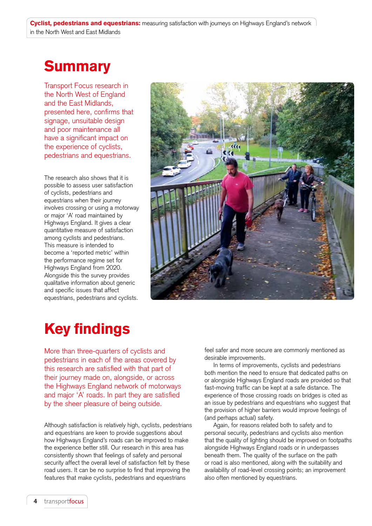## **Summary**

Transport Focus research in the North West of England and the East Midlands, presented here, confirms that signage, unsuitable design and poor maintenance all have a significant impact on the experience of cyclists, pedestrians and equestrians.

The research also shows that it is possible to assess user satisfaction of cyclists, pedestrians and equestrians when their journey involves crossing or using a motorway or major 'A' road maintained by Highways England. It gives a clear quantitative measure of satisfaction among cyclists and pedestrians. This measure is intended to become a 'reported metric' within the performance regime set for Highways England from 2020. Alongside this the survey provides qualitative information about generic and specific issues that affect equestrians, pedestrians and cyclists.



## Key findings

More than three-quarters of cyclists and pedestrians in each of the areas covered by this research are satisfied with that part of their journey made on, alongside, or across the Highways England network of motorways and major 'A' roads. In part they are satisfied by the sheer pleasure of being outside.

Although satisfaction is relatively high, cyclists, pedestrians and equestrians are keen to provide suggestions about how Highways England's roads can be improved to make the experience better still. Our research in this area has consistently shown that feelings of safety and personal security affect the overall level of satisfaction felt by these road users. It can be no surprise to find that improving the features that make cyclists, pedestrians and equestrians

feel safer and more secure are commonly mentioned as desirable improvements.

In terms of improvements, cyclists and pedestrians both mention the need to ensure that dedicated paths on or alongside Highways England roads are provided so that fast-moving traffic can be kept at a safe distance. The experience of those crossing roads on bridges is cited as an issue by pedestrians and equestrians who suggest that the provision of higher barriers would improve feelings of (and perhaps actual) safety.

Again, for reasons related both to safety and to personal security, pedestrians and cyclists also mention that the quality of lighting should be improved on footpaths alongside Highways England roads or in underpasses beneath them. The quality of the surface on the path or road is also mentioned, along with the suitability and availability of road-level crossing points; an improvement also often mentioned by equestrians.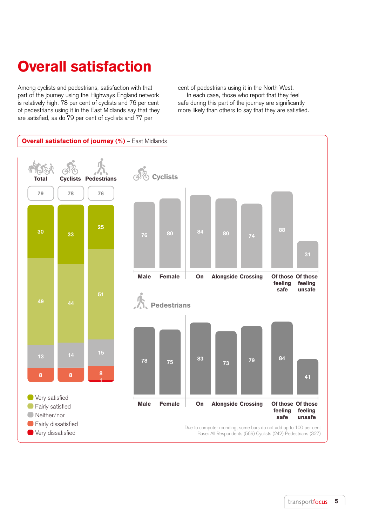## Overall satisfaction

Among cyclists and pedestrians, satisfaction with that part of the journey using the Highways England network is relatively high. 78 per cent of cyclists and 76 per cent of pedestrians using it in the East Midlands say that they are satisfied, as do 79 per cent of cyclists and 77 per

cent of pedestrians using it in the North West.

In each case, those who report that they feel safe during this part of the journey are significantly more likely than others to say that they are satisfied.

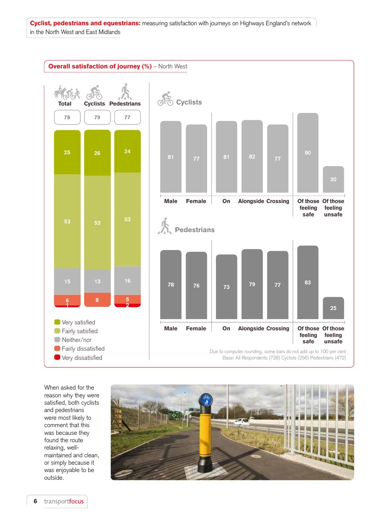

When asked for the reason why they were satisfied, both cyclists and pedestrians were most likely to comment that this was because they found the route relaxing, wellmaintained and clean, or simply because it was enjoyable to be outside.

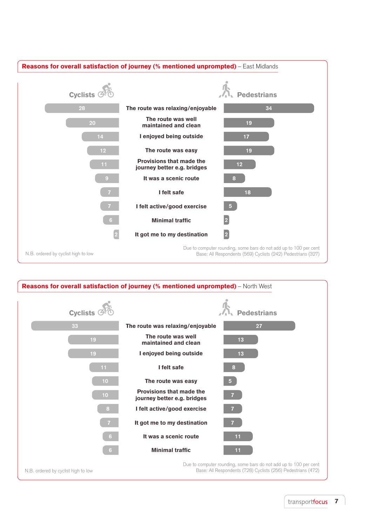

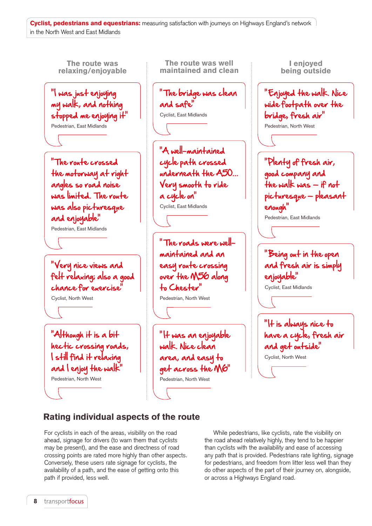

## Rating individual aspects of the route

For cyclists in each of the areas, visibility on the road ahead, signage for drivers (to warn them that cyclists may be present), and the ease and directness of road crossing points are rated more highly than other aspects. Conversely, these users rate signage for cyclists, the availability of a path, and the ease of getting onto this path if provided, less well.

While pedestrians, like cyclists, rate the visibility on the road ahead relatively highly, they tend to be happier than cyclists with the availability and ease of accessing any path that is provided. Pedestrians rate lighting, signage for pedestrians, and freedom from litter less well than they do other aspects of the part of their journey on, alongside, or across a Highways England road.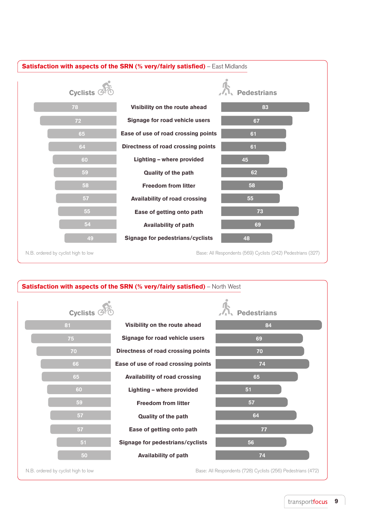

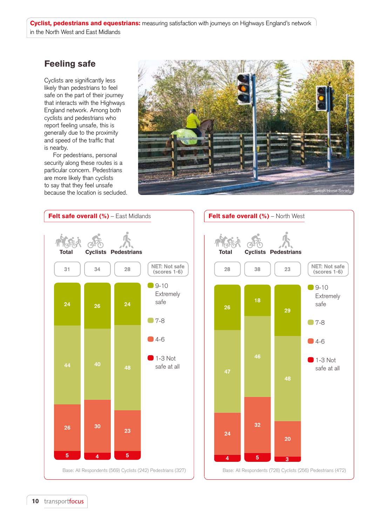## Feeling safe

Cyclists are significantly less likely than pedestrians to feel safe on the part of their journey that interacts with the Highways England network. Among both cyclists and pedestrians who report feeling unsafe, this is generally due to the proximity and speed of the traffic that is nearby.

For pedestrians, personal security along these routes is a particular concern. Pedestrians are more likely than cyclists to say that they feel unsafe because the location is secluded.





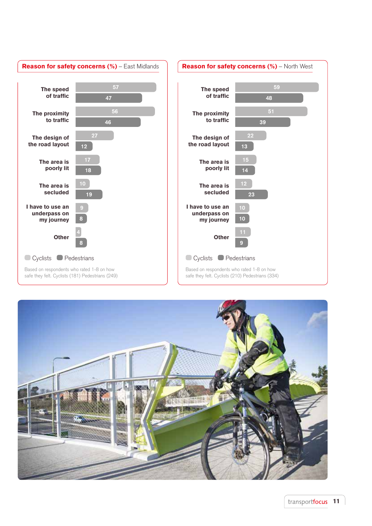

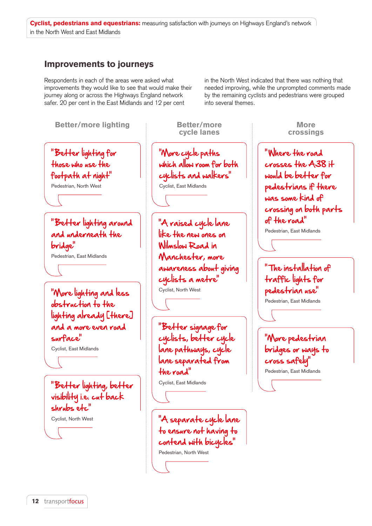## Improvements to journeys

Respondents in each of the areas were asked what improvements they would like to see that would make their journey along or across the Highways England network safer. 20 per cent in the East Midlands and 12 per cent

in the North West indicated that there was nothing that needed improving, while the unprompted comments made by the remaining cyclists and pedestrians were grouped into several themes.

"Better lighting for those who use the footpath at night" Pedestrian, North West "Better lighting around and underneath the bridge" Pedestrian, East Midlands "More lighting and less obstruction to the lighting already [there] and a more even road surface" Cyclist, East Midlands "More cycle paths which allow room for both cyclists and walkers" Cyclist, East Midlands "A raised cycle lane like the new ones on Wilmslow Road in Manchester, more awareness about giving cyclists a metre" Cyclist, North West "Better signage for cyclists, better cycle lane pathways, cycle lane separated from the road" Cyclist, East Midlands "A separate cycle lane to ensure not having to contend with bicycles" Pedestrian, North West "Better lighting, better visibility i.e. cut back shrubs etc" Cyclist, North West Better/more cycle lanes Better/more lighting the setter/more the more More

" Where the road crosses the A38 it would be better for pedestrians if there was some kind of crossing on both parts of the road"

crossings

Pedestrian, East Midlands

" The installation of traffic lights for pedestrian use" Pedestrian, East Midlands

"More pedestrian bridges or ways to cross safely" Pedestrian, East Midlands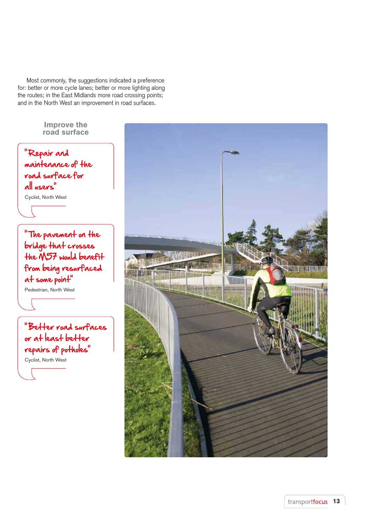Most commonly, the suggestions indicated a preference for: better or more cycle lanes; better or more lighting along the routes; in the East Midlands more road crossing points; and in the North West an improvement in road surfaces.

" Repair and maintenance of the road surface for all users" Cyclist, North West "The pavement on the bridge that crosses the M57 would benefit from being resurfaced at some point" Pedestrian, North West "Better road surfaces or at least better repairs of potholes" Cyclist, North West Improve the road surface

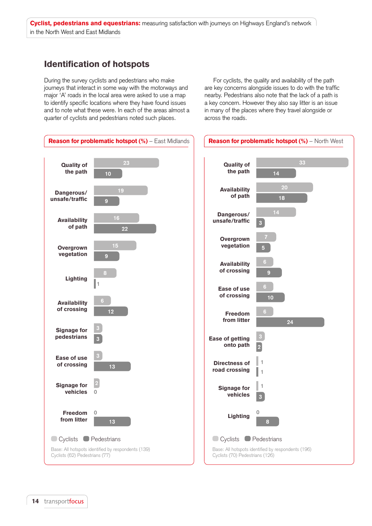## Identification of hotspots

During the survey cyclists and pedestrians who make journeys that interact in some way with the motorways and major 'A' roads in the local area were asked to use a map to identify specific locations where they have found issues and to note what these were. In each of the areas almost a quarter of cyclists and pedestrians noted such places.

For cyclists, the quality and availability of the path are key concerns alongside issues to do with the traffic nearby. Pedestrians also note that the lack of a path is a key concern. However they also say litter is an issue in many of the places where they travel alongside or across the roads.

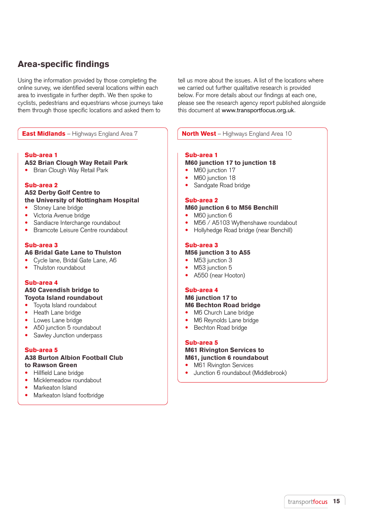## Area-specific findings

Using the information provided by those completing the online survey, we identified several locations within each area to investigate in further depth. We then spoke to cyclists, pedestrians and equestrians whose journeys take them through those specific locations and asked them to

tell us more about the issues. A list of the locations where we carried out further qualitative research is provided below. For more details about our findings at each one, please see the research agency report published alongside this document at www.transportfocus.org.uk.

## **East Midlands** – Highways England Area 7  $\blacksquare$  **North West** – Highways England Area 10

## Sub-area 1

#### A52 Brian Clough Way Retail Park

• Brian Clough Way Retail Park

### Sub-area 2

## A52 Derby Golf Centre to

- the University of Nottingham Hospital
- Stoney Lane bridge
- • Victoria Avenue bridge
- Sandiacre Interchange roundabout
- Bramcote Leisure Centre roundabout

## Sub-area 3

## A6 Bridal Gate Lane to Thulston

- Cycle lane, Bridal Gate Lane, A6
- Thulston roundabout

#### Sub-area 4

#### A50 Cavendish bridge to Toyota Island roundabout

- Tovota Island roundabout
- Heath Lane bridge
- Lowes Lane bridge
- A50 junction 5 roundabout
- Sawley Junction underpass

### Sub-area 5

#### A38 Burton Albion Football Club to Rawson Green

- Hillfield Lane bridge
- Micklemeadow roundabout
- Markeaton Island
- Markeaton Island footbridge

## Sub-area 1

## M60 junction 17 to junction 18

- M60 junction 17
- M60 junction 18
- Sandgate Road bridge

#### Sub-area 2

## M60 junction 6 to M56 Benchill

- M60 junction 6
- M56 / A5103 Wythenshawe roundabout
- Hollyhedge Road bridge (near Benchill)

#### Sub-area 3

#### M56 junction 3 to A55

- M53 junction 3
- M53 junction 5
- A550 (near Hooton)

#### Sub-area 4

## M6 junction 17 to M6 Bechton Road bridge

- M6 Church Lane bridge
- M6 Reynolds Lane bridge
- Bechton Road bridge

#### Sub-area 5

#### M61 Rivington Services to M61, junction 6 roundabout

- M61 Rivington Services
- Junction 6 roundabout (Middlebrook)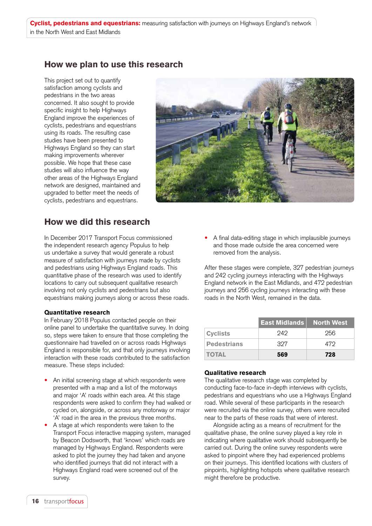## How we plan to use this research

This project set out to quantify satisfaction among cyclists and pedestrians in the two areas concerned. It also sought to provide specific insight to help Highways England improve the experiences of cyclists, pedestrians and equestrians using its roads. The resulting case studies have been presented to Highways England so they can start making improvements wherever possible. We hope that these case studies will also influence the way other areas of the Highways England network are designed, maintained and upgraded to better meet the needs of cyclists, pedestrians and equestrians.



## How we did this research

In December 2017 Transport Focus commissioned the independent research agency Populus to help us undertake a survey that would generate a robust measure of satisfaction with journeys made by cyclists and pedestrians using Highways England roads. This quantitative phase of the research was used to identify locations to carry out subsequent qualitative research involving not only cyclists and pedestrians but also equestrians making journeys along or across these roads.

#### Quantitative research

In February 2018 Populus contacted people on their online panel to undertake the quantitative survey. In doing so, steps were taken to ensure that those completing the questionnaire had travelled on or across roads Highways England is responsible for, and that only journeys involving interaction with these roads contributed to the satisfaction measure. These steps included:

- An initial screening stage at which respondents were presented with a map and a list of the motorways and major 'A' roads within each area. At this stage respondents were asked to confirm they had walked or cycled on, alongside, or across any motorway or major 'A' road in the area in the previous three months.
- A stage at which respondents were taken to the Transport Focus interactive mapping system, managed by Beacon Dodsworth, that 'knows' which roads are managed by Highways England. Respondents were asked to plot the journey they had taken and anyone who identified journeys that did not interact with a Highways England road were screened out of the survey.

A final data-editing stage in which implausible journeys and those made outside the area concerned were removed from the analysis.

After these stages were complete, 327 pedestrian journeys and 242 cycling journeys interacting with the Highways England network in the East Midlands, and 472 pedestrian journeys and 256 cycling journeys interacting with these roads in the North West, remained in the data.

|                    | <b>East Midlands</b> | North West |
|--------------------|----------------------|------------|
| <b>Cyclists</b>    | 949                  | 256        |
| <b>Pedestrians</b> | 327                  | 479        |
| <b>TOTAL</b>       | 569                  | 728        |

## Qualitative research

The qualitative research stage was completed by conducting face-to-face in-depth interviews with cyclists, pedestrians and equestrians who use a Highways England road. While several of these participants in the research were recruited via the online survey, others were recruited near to the parts of these roads that were of interest.

Alongside acting as a means of recruitment for the qualitative phase, the online survey played a key role in indicating where qualitative work should subsequently be carried out. During the online survey respondents were asked to pinpoint where they had experienced problems on their journeys. This identified locations with clusters of pinpoints, highlighting hotspots where qualitative research might therefore be productive.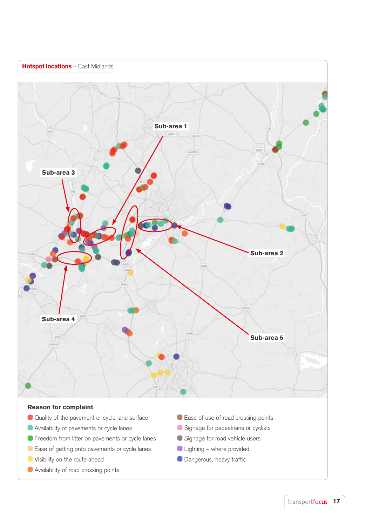

## Reason for complaint

- Quality of the pavement or cycle lane surface
- Availability of pavements or cycle lanes
- **•** Freedom from litter on pavements or cycle lanes
- Ease of getting onto pavements or cycle lanes
- **O** Visibility on the route ahead
- Availability of road crossing points
- Ease of use of road crossing points
- Signage for pedestrians or cyclists
- Signage for road vehicle users
- Lighting where provided
- **Dangerous, heavy traffic**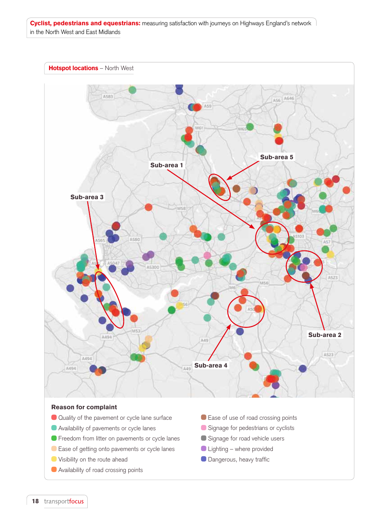



- **•** Freedom from litter on pavements or cycle lanes
- Ease of getting onto pavements or cycle lanes
- **Visibility on the route ahead**
- **Availability of road crossing points**
- 
- Signage for road vehicle users
- Lighting where provided
- **O** Dangerous, heavy traffic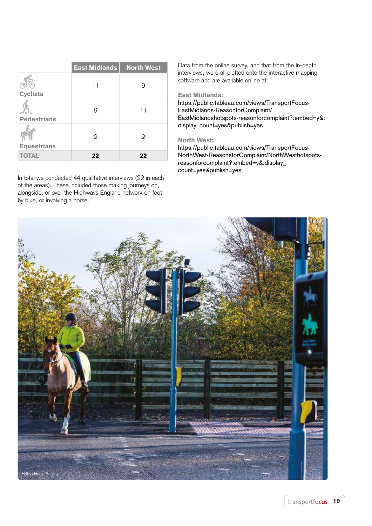|                    | <b>East Midlands</b> | <b>North West</b> |
|--------------------|----------------------|-------------------|
| <b>Cyclists</b>    | 11                   | 9                 |
| <b>Pedestrians</b> | 9                    | 11                |
| <b>Equestrians</b> | $\overline{2}$       | 2                 |
| <b>TOTAL</b>       | 22                   | 22                |

In total we conducted 44 qualitative interviews (22 in each of the areas). These included those making journeys on, alongside, or over the Highways England network on foot, by bike, or involving a horse.

Data from the online survey, and that from the in-depth interviews, were all plotted onto the interactive mapping software and are available online at:

### East Midlands:

https://public.tableau.com/views/TransportFocus-EastMidlands-ReasonforComplaint/ EastMidlandshotspots-reasonforcomplaint?:embed=y&: display\_count=yes&publish=yes

## North West:

https://public.tableau.com/views/TransportFocus-NorthWest-ReasonsforComplaint/NorthWesthotspotsreasonforcomplaint?:embed=y&:display\_ count=yes&publish=yes